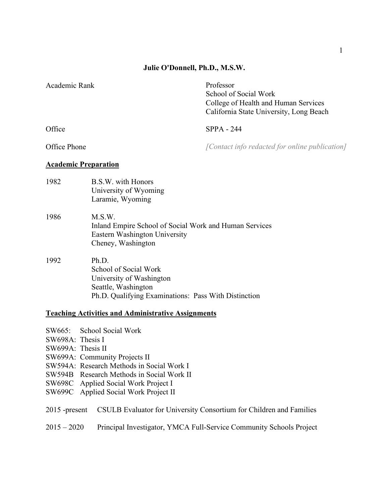# **Julie O'Donnell, Ph.D., M.S.W.**

| Academic Rank               |                                                                                                                                           | Professor<br>School of Social Work<br>College of Health and Human Services<br>California State University, Long Beach |
|-----------------------------|-------------------------------------------------------------------------------------------------------------------------------------------|-----------------------------------------------------------------------------------------------------------------------|
| Office                      |                                                                                                                                           | $SPPA - 244$                                                                                                          |
| Office Phone                |                                                                                                                                           | [Contact info redacted for online publication]                                                                        |
| <b>Academic Preparation</b> |                                                                                                                                           |                                                                                                                       |
| 1982                        | B.S.W. with Honors<br>University of Wyoming<br>Laramie, Wyoming                                                                           |                                                                                                                       |
| 1986                        | M.S.W.<br>Inland Empire School of Social Work and Human Services<br>Eastern Washington University<br>Cheney, Washington                   |                                                                                                                       |
| 1992                        | Ph.D.<br>School of Social Work<br>University of Washington<br>Seattle, Washington<br>Ph.D. Qualifying Examinations: Pass With Distinction |                                                                                                                       |

# **Teaching Activities and Administrative Assignments**

|                   | SW665: School Social Work                                           |
|-------------------|---------------------------------------------------------------------|
| SW698A: Thesis I  |                                                                     |
| SW699A: Thesis II |                                                                     |
|                   | SW699A: Community Projects II                                       |
|                   | SW594A: Research Methods in Social Work I                           |
|                   | SW594B Research Methods in Social Work II                           |
|                   | SW698C Applied Social Work Project I                                |
|                   | SW699C Applied Social Work Project II                               |
|                   |                                                                     |
| $2015$ -present   | CSULB Evaluator for University Consortium for Children and Families |
|                   |                                                                     |
| $2015 - 2020$     | Principal Investigator, YMCA Full-Service Community Schools Project |
|                   |                                                                     |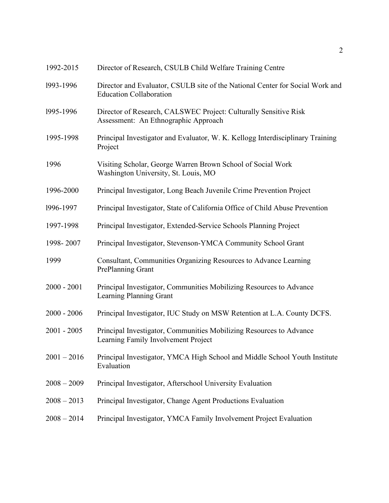| 1992-2015     | Director of Research, CSULB Child Welfare Training Centre                                                       |
|---------------|-----------------------------------------------------------------------------------------------------------------|
| 1993-1996     | Director and Evaluator, CSULB site of the National Center for Social Work and<br><b>Education Collaboration</b> |
| 1995-1996     | Director of Research, CALSWEC Project: Culturally Sensitive Risk<br>Assessment: An Ethnographic Approach        |
| 1995-1998     | Principal Investigator and Evaluator, W. K. Kellogg Interdisciplinary Training<br>Project                       |
| 1996          | Visiting Scholar, George Warren Brown School of Social Work<br>Washington University, St. Louis, MO             |
| 1996-2000     | Principal Investigator, Long Beach Juvenile Crime Prevention Project                                            |
| 1996-1997     | Principal Investigator, State of California Office of Child Abuse Prevention                                    |
| 1997-1998     | Principal Investigator, Extended-Service Schools Planning Project                                               |
| 1998-2007     | Principal Investigator, Stevenson-YMCA Community School Grant                                                   |
| 1999          | Consultant, Communities Organizing Resources to Advance Learning<br>PrePlanning Grant                           |
| $2000 - 2001$ | Principal Investigator, Communities Mobilizing Resources to Advance<br>Learning Planning Grant                  |
| $2000 - 2006$ | Principal Investigator, IUC Study on MSW Retention at L.A. County DCFS.                                         |
| $2001 - 2005$ | Principal Investigator, Communities Mobilizing Resources to Advance<br>Learning Family Involvement Project      |
| $2001 - 2016$ | Principal Investigator, YMCA High School and Middle School Youth Institute<br>Evaluation                        |
| $2008 - 2009$ | Principal Investigator, Afterschool University Evaluation                                                       |
| $2008 - 2013$ | Principal Investigator, Change Agent Productions Evaluation                                                     |
| $2008 - 2014$ | Principal Investigator, YMCA Family Involvement Project Evaluation                                              |
|               |                                                                                                                 |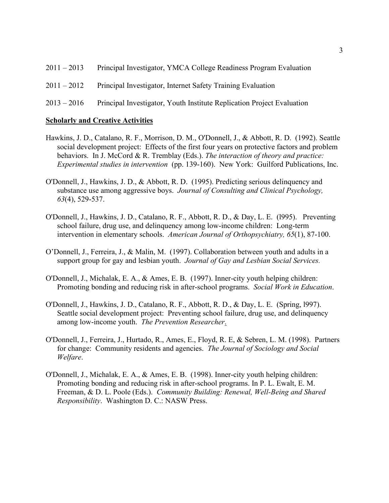| $2011 - 2013$ | Principal Investigator, YMCA College Readiness Program Evaluation |
|---------------|-------------------------------------------------------------------|
| $2011 - 2012$ | Principal Investigator, Internet Safety Training Evaluation       |

# 2013 – 2016 Principal Investigator, Youth Institute Replication Project Evaluation

# **Scholarly and Creative Activities**

- Hawkins, J. D., Catalano, R. F., Morrison, D. M., O'Donnell, J., & Abbott, R. D. (1992). Seattle social development project: Effects of the first four years on protective factors and problem behaviors. In J. McCord & R. Tremblay (Eds.). *The interaction of theory and practice: Experimental studies in intervention* (pp. 139-160). New York: Guilford Publications, Inc.
- O'Donnell, J., Hawkins, J. D., & Abbott, R. D. (1995). Predicting serious delinquency and substance use among aggressive boys. *Journal of Consulting and Clinical Psychology, 63*(4), 529-537.
- O'Donnell, J., Hawkins, J. D., Catalano, R. F., Abbott, R. D., & Day, L. E. (l995). Preventing school failure, drug use, and delinquency among low-income children: Long-term intervention in elementary schools. *American Journal of Orthopsychiatry, 65*(1), 87-100.
- O'Donnell, J., Ferreira, J., & Malin, M. (1997). Collaboration between youth and adults in a support group for gay and lesbian youth. *Journal of Gay and Lesbian Social Services.*
- O'Donnell, J., Michalak, E. A., & Ames, E. B. (1997). Inner-city youth helping children: Promoting bonding and reducing risk in after-school programs. *Social Work in Education*.
- O'Donnell, J., Hawkins, J. D., Catalano, R. F., Abbott, R. D., & Day, L. E. (Spring, l997). Seattle social development project: Preventing school failure, drug use, and delinquency among low-income youth. *The Prevention Researcher*.
- O'Donnell, J., Ferreira, J., Hurtado, R., Ames, E., Floyd, R. E, & Sebren, L. M. (1998). Partners for change: Community residents and agencies. *The Journal of Sociology and Social Welfare*.
- O'Donnell, J., Michalak, E. A., & Ames, E. B. (1998). Inner-city youth helping children: Promoting bonding and reducing risk in after-school programs. In P. L. Ewalt, E. M. Freeman, & D. L. Poole (Eds.). *Community Building: Renewal, Well-Being and Shared Responsibility*. Washington D. C.: NASW Press.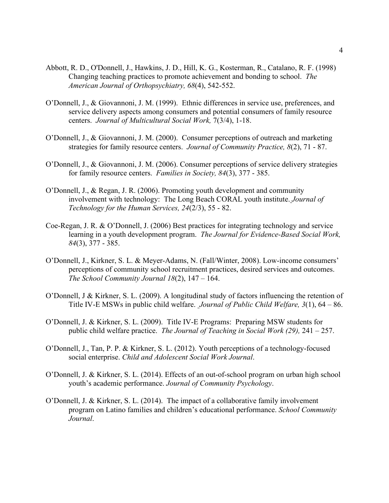- Abbott, R. D., O'Donnell, J., Hawkins, J. D., Hill, K. G., Kosterman, R., Catalano, R. F. (1998) Changing teaching practices to promote achievement and bonding to school. *The American Journal of Orthopsychiatry, 68*(4), 542-552.
- O'Donnell, J., & Giovannoni, J. M. (1999). Ethnic differences in service use, preferences, and service delivery aspects among consumers and potential consumers of family resource centers. *Journal of Multicultural Social Work,* 7(3/4), 1-18.
- O'Donnell, J., & Giovannoni, J. M. (2000). Consumer perceptions of outreach and marketing strategies for family resource centers. *Journal of Community Practice, 8*(2), 71 - 87.
- O'Donnell, J., & Giovannoni, J. M. (2006). Consumer perceptions of service delivery strategies for family resource centers. *Families in Society, 84*(3), 377 - 385.
- O'Donnell, J., & Regan, J. R. (2006). Promoting youth development and community involvement with technology: The Long Beach CORAL youth institute. *Journal of Technology for the Human Services, 24*(2/3), 55 - 82.
- Coe-Regan, J. R. & O'Donnell, J. (2006) Best practices for integrating technology and service learning in a youth development program. *The Journal for Evidence-Based Social Work, 84*(3), 377 - 385.
- O'Donnell, J., Kirkner, S. L. & Meyer-Adams, N. (Fall/Winter, 2008). Low-income consumers' perceptions of community school recruitment practices, desired services and outcomes. *The School Community Journal 18*(2), 147 – 164.
- O'Donnell, J & Kirkner, S. L. (2009). A longitudinal study of factors influencing the retention of Title IV-E MSWs in public child welfare. *Journal of Public Child Welfare, 3*(1), 64 – 86.
- O'Donnell, J. & Kirkner, S. L. (2009). Title IV-E Programs: Preparing MSW students for public child welfare practice. *The Journal of Teaching in Social Work (29),* 241 – 257.
- O'Donnell, J., Tan, P. P. & Kirkner, S. L. (2012). Youth perceptions of a technology-focused social enterprise. *Child and Adolescent Social Work Journal*.
- O'Donnell, J. & Kirkner, S. L. (2014). Effects of an out-of-school program on urban high school youth's academic performance. *Journal of Community Psychology*.
- O'Donnell, J. & Kirkner, S. L. (2014). The impact of a collaborative family involvement program on Latino families and children's educational performance. *School Community Journal*.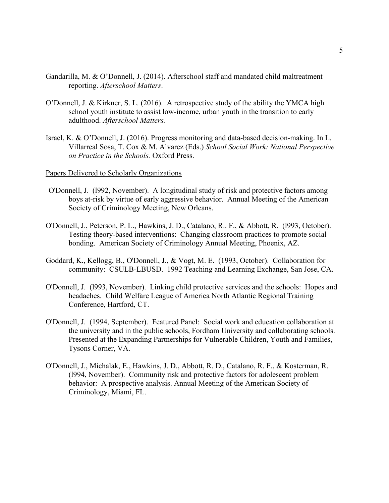- Gandarilla, M. & O'Donnell, J. (2014). Afterschool staff and mandated child maltreatment reporting. *Afterschool Matters*.
- O'Donnell, J. & Kirkner, S. L. (2016). A retrospective study of the ability the YMCA high school youth institute to assist low-income, urban youth in the transition to early adulthood. *Afterschool Matters.*
- Israel, K. & O'Donnell, J. (2016). Progress monitoring and data-based decision-making. In L. Villarreal Sosa, T. Cox & M. Alvarez (Eds.) *School Social Work: National Perspective on Practice in the Schools.* Oxford Press.

### Papers Delivered to Scholarly Organizations

- O'Donnell, J. (l992, November). A longitudinal study of risk and protective factors among boys at-risk by virtue of early aggressive behavior. Annual Meeting of the American Society of Criminology Meeting, New Orleans.
- O'Donnell, J., Peterson, P. L., Hawkins, J. D., Catalano, R.. F., & Abbott, R. (l993, October). Testing theory-based interventions: Changing classroom practices to promote social bonding. American Society of Criminology Annual Meeting, Phoenix, AZ.
- Goddard, K., Kellogg, B., O'Donnell, J., & Vogt, M. E. (1993, October). Collaboration for community: CSULB-LBUSD. 1992 Teaching and Learning Exchange, San Jose, CA.
- O'Donnell, J. (l993, November). Linking child protective services and the schools: Hopes and headaches. Child Welfare League of America North Atlantic Regional Training Conference, Hartford, CT.
- O'Donnell, J. (1994, September). Featured Panel: Social work and education collaboration at the university and in the public schools, Fordham University and collaborating schools. Presented at the Expanding Partnerships for Vulnerable Children, Youth and Families, Tysons Corner, VA.
- O'Donnell, J., Michalak, E., Hawkins, J. D., Abbott, R. D., Catalano, R. F., & Kosterman, R. (l994, November). Community risk and protective factors for adolescent problem behavior: A prospective analysis. Annual Meeting of the American Society of Criminology, Miami, FL.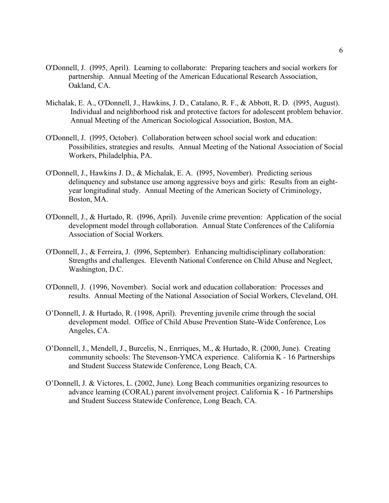- O'Donnell, J. (l995, April). Learning to collaborate: Preparing teachers and social workers for partnership. Annual Meeting of the American Educational Research Association, Oakland, CA.
- Michalak, E. A., O'Donnell, J., Hawkins, J. D., Catalano, R. F., & Abbott, R. D. (l995, August). Individual and neighborhood risk and protective factors for adolescent problem behavior. Annual Meeting of the American Sociological Association, Boston, MA.
- O'Donnell, J. (l995, October). Collaboration between school social work and education: Possibilities, strategies and results. Annual Meeting of the National Association of Social Workers, Philadelphia, PA.
- O'Donnell, J., Hawkins J. D., & Michalak, E. A. (l995, November). Predicting serious delinquency and substance use among aggressive boys and girls: Results from an eightyear longitudinal study. Annual Meeting of the American Society of Criminology, Boston, MA.
- O'Donnell, J., & Hurtado, R. (l996, April). Juvenile crime prevention: Application of the social development model through collaboration. Annual State Conferences of the California Association of Social Workers.
- O'Donnell, J., & Ferreira, J. (l996, September). Enhancing multidisciplinary collaboration: Strengths and challenges. Eleventh National Conference on Child Abuse and Neglect, Washington, D.C.
- O'Donnell, J. (1996, November). Social work and education collaboration: Processes and results. Annual Meeting of the National Association of Social Workers, Cleveland, OH.
- O'Donnell, J. & Hurtado, R. (1998, April). Preventing juvenile crime through the social development model. Office of Child Abuse Prevention State-Wide Conference, Los Angeles, CA.
- O'Donnell, J., Mendell, J., Burcelis, N., Enrriques, M., & Hurtado, R. (2000, June). Creating community schools: The Stevenson-YMCA experience. California K - 16 Partnerships and Student Success Statewide Conference, Long Beach, CA.
- O'Donnell, J. & Victores, L. (2002, June). Long Beach communities organizing resources to advance learning (CORAL) parent involvement project. California K - 16 Partnerships and Student Success Statewide Conference, Long Beach, CA.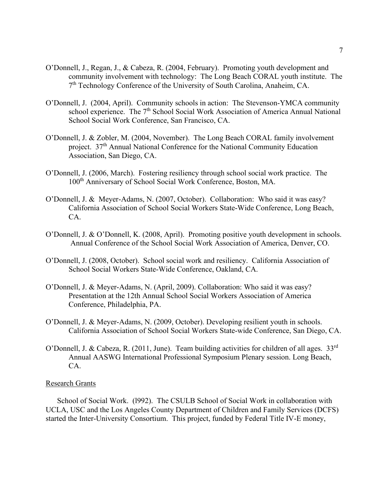- O'Donnell, J., Regan, J., & Cabeza, R. (2004, February). Promoting youth development and community involvement with technology: The Long Beach CORAL youth institute. The <sup>7th</sup> Technology Conference of the University of South Carolina, Anaheim, CA.
- O'Donnell, J. (2004, April). Community schools in action: The Stevenson-YMCA community school experience. The 7<sup>th</sup> School Social Work Association of America Annual National School Social Work Conference, San Francisco, CA.
- O'Donnell, J. & Zobler, M. (2004, November). The Long Beach CORAL family involvement project. 37<sup>th</sup> Annual National Conference for the National Community Education Association, San Diego, CA.
- O'Donnell, J. (2006, March). Fostering resiliency through school social work practice. The 100th Anniversary of School Social Work Conference, Boston, MA.
- O'Donnell, J. & Meyer-Adams, N. (2007, October). Collaboration: Who said it was easy? California Association of School Social Workers State-Wide Conference, Long Beach, CA.
- O'Donnell, J. & O'Donnell, K. (2008, April). Promoting positive youth development in schools. Annual Conference of the School Social Work Association of America, Denver, CO.
- O'Donnell, J. (2008, October). School social work and resiliency. California Association of School Social Workers State-Wide Conference, Oakland, CA.
- O'Donnell, J. & Meyer-Adams, N. (April, 2009). Collaboration: Who said it was easy? Presentation at the 12th Annual School Social Workers Association of America Conference, Philadelphia, PA.
- O'Donnell, J. & Meyer-Adams, N. (2009, October). Developing resilient youth in schools. California Association of School Social Workers State-wide Conference, San Diego, CA.
- O'Donnell, J. & Cabeza, R. (2011, June). Team building activities for children of all ages. 33<sup>rd</sup> Annual AASWG International Professional Symposium Plenary session. Long Beach, CA.

#### Research Grants

School of Social Work. (l992). The CSULB School of Social Work in collaboration with UCLA, USC and the Los Angeles County Department of Children and Family Services (DCFS) started the Inter-University Consortium. This project, funded by Federal Title IV-E money,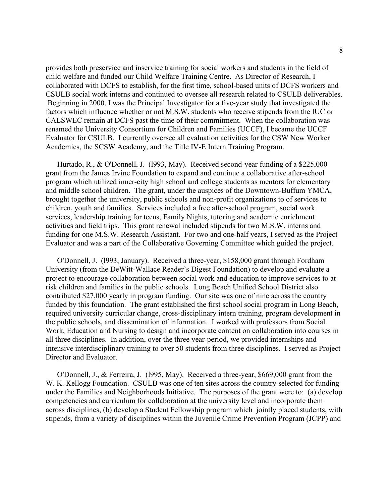provides both preservice and inservice training for social workers and students in the field of child welfare and funded our Child Welfare Training Centre. As Director of Research, I collaborated with DCFS to establish, for the first time, school-based units of DCFS workers and CSULB social work interns and continued to oversee all research related to CSULB deliverables. Beginning in 2000, I was the Principal Investigator for a five-year study that investigated the factors which influence whether or not M.S.W. students who receive stipends from the IUC or CALSWEC remain at DCFS past the time of their commitment. When the collaboration was renamed the University Consortium for Children and Families (UCCF), I became the UCCF Evaluator for CSULB. I currently oversee all evaluation activities for the CSW New Worker Academies, the SCSW Academy, and the Title IV-E Intern Training Program.

Hurtado, R., & O'Donnell, J. (l993, May). Received second-year funding of a \$225,000 grant from the James Irvine Foundation to expand and continue a collaborative after-school program which utilized inner-city high school and college students as mentors for elementary and middle school children. The grant, under the auspices of the Downtown-Buffum YMCA, brought together the university, public schools and non-profit organizations to of services to children, youth and families. Services included a free after-school program, social work services, leadership training for teens, Family Nights, tutoring and academic enrichment activities and field trips. This grant renewal included stipends for two M.S.W. interns and funding for one M.S.W. Research Assistant. For two and one-half years, I served as the Project Evaluator and was a part of the Collaborative Governing Committee which guided the project.

O'Donnell, J. (l993, January). Received a three-year, \$158,000 grant through Fordham University (from the DeWitt-Wallace Reader's Digest Foundation) to develop and evaluate a project to encourage collaboration between social work and education to improve services to atrisk children and families in the public schools. Long Beach Unified School District also contributed \$27,000 yearly in program funding. Our site was one of nine across the country funded by this foundation. The grant established the first school social program in Long Beach, required university curricular change, cross-disciplinary intern training, program development in the public schools, and dissemination of information. I worked with professors from Social Work, Education and Nursing to design and incorporate content on collaboration into courses in all three disciplines. In addition, over the three year-period, we provided internships and intensive interdisciplinary training to over 50 students from three disciplines. I served as Project Director and Evaluator.

O'Donnell, J., & Ferreira, J. (l995, May). Received a three-year, \$669,000 grant from the W. K. Kellogg Foundation. CSULB was one of ten sites across the country selected for funding under the Families and Neighborhoods Initiative. The purposes of the grant were to: (a) develop competencies and curriculum for collaboration at the university level and incorporate them across disciplines, (b) develop a Student Fellowship program which jointly placed students, with stipends, from a variety of disciplines within the Juvenile Crime Prevention Program (JCPP) and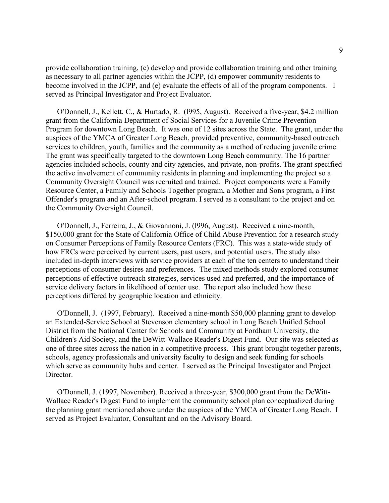provide collaboration training, (c) develop and provide collaboration training and other training as necessary to all partner agencies within the JCPP, (d) empower community residents to become involved in the JCPP, and (e) evaluate the effects of all of the program components. I served as Principal Investigator and Project Evaluator.

O'Donnell, J., Kellett, C., & Hurtado, R. (l995, August). Received a five-year, \$4.2 million grant from the California Department of Social Services for a Juvenile Crime Prevention Program for downtown Long Beach. It was one of 12 sites across the State. The grant, under the auspices of the YMCA of Greater Long Beach, provided preventive, community-based outreach services to children, youth, families and the community as a method of reducing juvenile crime. The grant was specifically targeted to the downtown Long Beach community. The 16 partner agencies included schools, county and city agencies, and private, non-profits. The grant specified the active involvement of community residents in planning and implementing the project so a Community Oversight Council was recruited and trained. Project components were a Family Resource Center, a Family and Schools Together program, a Mother and Sons program, a First Offender's program and an After-school program. I served as a consultant to the project and on the Community Oversight Council.

O'Donnell, J., Ferreira, J., & Giovannoni, J. (l996, August). Received a nine-month, \$150,000 grant for the State of California Office of Child Abuse Prevention for a research study on Consumer Perceptions of Family Resource Centers (FRC). This was a state-wide study of how FRCs were perceived by current users, past users, and potential users. The study also included in-depth interviews with service providers at each of the ten centers to understand their perceptions of consumer desires and preferences. The mixed methods study explored consumer perceptions of effective outreach strategies, services used and preferred, and the importance of service delivery factors in likelihood of center use. The report also included how these perceptions differed by geographic location and ethnicity.

O'Donnell, J. (1997, February). Received a nine-month \$50,000 planning grant to develop an Extended-Service School at Stevenson elementary school in Long Beach Unified School District from the National Center for Schools and Community at Fordham University, the Children's Aid Society, and the DeWitt-Wallace Reader's Digest Fund. Our site was selected as one of three sites across the nation in a competitive process. This grant brought together parents, schools, agency professionals and university faculty to design and seek funding for schools which serve as community hubs and center. I served as the Principal Investigator and Project Director.

O'Donnell, J. (1997, November). Received a three-year, \$300,000 grant from the DeWitt-Wallace Reader's Digest Fund to implement the community school plan conceptualized during the planning grant mentioned above under the auspices of the YMCA of Greater Long Beach. I served as Project Evaluator, Consultant and on the Advisory Board.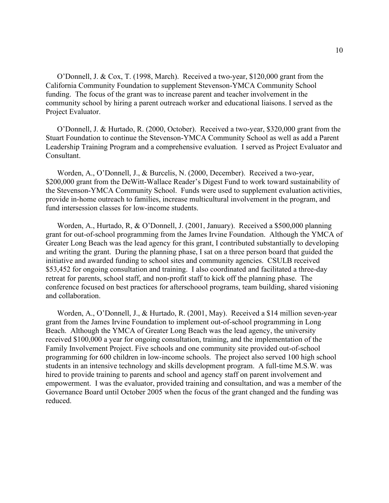O'Donnell, J. & Cox, T. (1998, March). Received a two-year, \$120,000 grant from the California Community Foundation to supplement Stevenson-YMCA Community School funding. The focus of the grant was to increase parent and teacher involvement in the community school by hiring a parent outreach worker and educational liaisons. I served as the Project Evaluator.

O'Donnell, J. & Hurtado, R. (2000, October). Received a two-year, \$320,000 grant from the Stuart Foundation to continue the Stevenson-YMCA Community School as well as add a Parent Leadership Training Program and a comprehensive evaluation. I served as Project Evaluator and Consultant.

Worden, A., O'Donnell, J., & Burcelis, N. (2000, December). Received a two-year, \$200,000 grant from the DeWitt-Wallace Reader's Digest Fund to work toward sustainability of the Stevenson-YMCA Community School. Funds were used to supplement evaluation activities, provide in-home outreach to families, increase multicultural involvement in the program, and fund intersession classes for low-income students.

Worden, A., Hurtado, R, & O'Donnell, J. (2001, January). Received a \$500,000 planning grant for out-of-school programming from the James Irvine Foundation. Although the YMCA of Greater Long Beach was the lead agency for this grant, I contributed substantially to developing and writing the grant. During the planning phase, I sat on a three person board that guided the initiative and awarded funding to school sites and community agencies. CSULB received \$53,452 for ongoing consultation and training. I also coordinated and facilitated a three-day retreat for parents, school staff, and non-profit staff to kick off the planning phase. The conference focused on best practices for afterschoool programs, team building, shared visioning and collaboration.

Worden, A., O'Donnell, J., & Hurtado, R. (2001, May). Received a \$14 million seven-year grant from the James Irvine Foundation to implement out-of-school programming in Long Beach. Although the YMCA of Greater Long Beach was the lead agency, the university received \$100,000 a year for ongoing consultation, training, and the implementation of the Family Involvement Project. Five schools and one community site provided out-of-school programming for 600 children in low-income schools. The project also served 100 high school students in an intensive technology and skills development program. A full-time M.S.W. was hired to provide training to parents and school and agency staff on parent involvement and empowerment. I was the evaluator, provided training and consultation, and was a member of the Governance Board until October 2005 when the focus of the grant changed and the funding was reduced.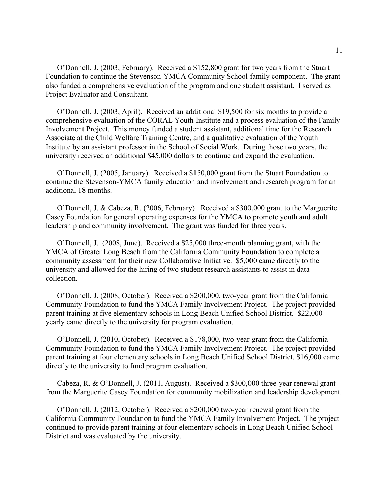O'Donnell, J. (2003, February). Received a \$152,800 grant for two years from the Stuart Foundation to continue the Stevenson-YMCA Community School family component. The grant also funded a comprehensive evaluation of the program and one student assistant. I served as Project Evaluator and Consultant.

O'Donnell, J. (2003, April). Received an additional \$19,500 for six months to provide a comprehensive evaluation of the CORAL Youth Institute and a process evaluation of the Family Involvement Project. This money funded a student assistant, additional time for the Research Associate at the Child Welfare Training Centre, and a qualitative evaluation of the Youth Institute by an assistant professor in the School of Social Work. During those two years, the university received an additional \$45,000 dollars to continue and expand the evaluation.

O'Donnell, J. (2005, January). Received a \$150,000 grant from the Stuart Foundation to continue the Stevenson-YMCA family education and involvement and research program for an additional 18 months.

O'Donnell, J. & Cabeza, R. (2006, February). Received a \$300,000 grant to the Marguerite Casey Foundation for general operating expenses for the YMCA to promote youth and adult leadership and community involvement. The grant was funded for three years.

O'Donnell, J. (2008, June). Received a \$25,000 three-month planning grant, with the YMCA of Greater Long Beach from the California Community Foundation to complete a community assessment for their new Collaborative Initiative. \$5,000 came directly to the university and allowed for the hiring of two student research assistants to assist in data collection.

O'Donnell, J. (2008, October). Received a \$200,000, two-year grant from the California Community Foundation to fund the YMCA Family Involvement Project. The project provided parent training at five elementary schools in Long Beach Unified School District. \$22,000 yearly came directly to the university for program evaluation.

O'Donnell, J. (2010, October). Received a \$178,000, two-year grant from the California Community Foundation to fund the YMCA Family Involvement Project. The project provided parent training at four elementary schools in Long Beach Unified School District. \$16,000 came directly to the university to fund program evaluation.

Cabeza, R. & O'Donnell, J. (2011, August). Received a \$300,000 three-year renewal grant from the Marguerite Casey Foundation for community mobilization and leadership development.

O'Donnell, J. (2012, October). Received a \$200,000 two-year renewal grant from the California Community Foundation to fund the YMCA Family Involvement Project. The project continued to provide parent training at four elementary schools in Long Beach Unified School District and was evaluated by the university.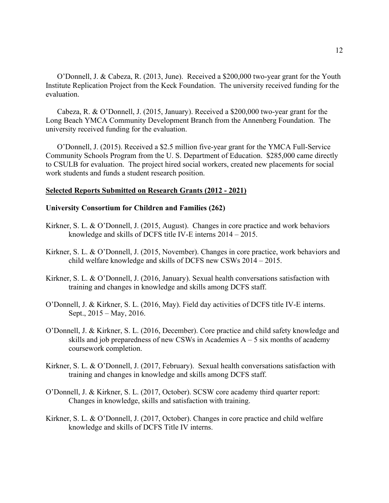O'Donnell, J. & Cabeza, R. (2013, June). Received a \$200,000 two-year grant for the Youth Institute Replication Project from the Keck Foundation. The university received funding for the evaluation.

Cabeza, R. & O'Donnell, J. (2015, January). Received a \$200,000 two-year grant for the Long Beach YMCA Community Development Branch from the Annenberg Foundation. The university received funding for the evaluation.

O'Donnell, J. (2015). Received a \$2.5 million five-year grant for the YMCA Full-Service Community Schools Program from the U. S. Department of Education. \$285,000 came directly to CSULB for evaluation. The project hired social workers, created new placements for social work students and funds a student research position.

### **Selected Reports Submitted on Research Grants (2012 - 2021)**

### **University Consortium for Children and Families (262)**

- Kirkner, S. L. & O'Donnell, J. (2015, August). Changes in core practice and work behaviors knowledge and skills of DCFS title IV-E interns 2014 – 2015.
- Kirkner, S. L. & O'Donnell, J. (2015, November). Changes in core practice, work behaviors and child welfare knowledge and skills of DCFS new CSWs 2014 – 2015.
- Kirkner, S. L. & O'Donnell, J. (2016, January). Sexual health conversations satisfaction with training and changes in knowledge and skills among DCFS staff.
- O'Donnell, J. & Kirkner, S. L. (2016, May). Field day activities of DCFS title IV-E interns. Sept., 2015 – May, 2016.
- O'Donnell, J. & Kirkner, S. L. (2016, December). Core practice and child safety knowledge and skills and job preparedness of new CSWs in Academies  $A - 5$  six months of academy coursework completion.
- Kirkner, S. L. & O'Donnell, J. (2017, February). Sexual health conversations satisfaction with training and changes in knowledge and skills among DCFS staff.
- O'Donnell, J. & Kirkner, S. L. (2017, October). SCSW core academy third quarter report: Changes in knowledge, skills and satisfaction with training.
- Kirkner, S. L. & O'Donnell, J. (2017, October). Changes in core practice and child welfare knowledge and skills of DCFS Title IV interns.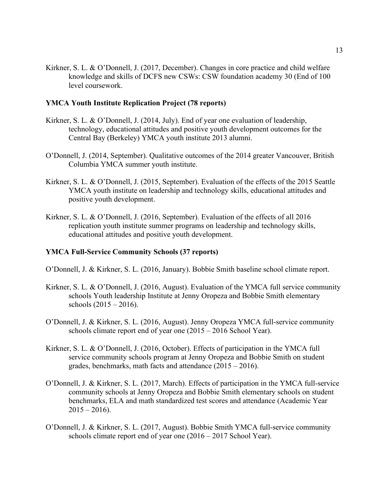Kirkner, S. L. & O'Donnell, J. (2017, December). Changes in core practice and child welfare knowledge and skills of DCFS new CSWs: CSW foundation academy 30 (End of 100 level coursework.

## **YMCA Youth Institute Replication Project (78 reports)**

- Kirkner, S. L. & O'Donnell, J. (2014, July). End of year one evaluation of leadership, technology, educational attitudes and positive youth development outcomes for the Central Bay (Berkeley) YMCA youth institute 2013 alumni.
- O'Donnell, J. (2014, September). Qualitative outcomes of the 2014 greater Vancouver, British Columbia YMCA summer youth institute.
- Kirkner, S. L. & O'Donnell, J. (2015, September). Evaluation of the effects of the 2015 Seattle YMCA youth institute on leadership and technology skills, educational attitudes and positive youth development.
- Kirkner, S. L. & O'Donnell, J. (2016, September). Evaluation of the effects of all 2016 replication youth institute summer programs on leadership and technology skills, educational attitudes and positive youth development.

### **YMCA Full-Service Community Schools (37 reports)**

- O'Donnell, J. & Kirkner, S. L. (2016, January). Bobbie Smith baseline school climate report.
- Kirkner, S. L. & O'Donnell, J. (2016, August). Evaluation of the YMCA full service community schools Youth leadership Institute at Jenny Oropeza and Bobbie Smith elementary schools (2015 – 2016).
- O'Donnell, J. & Kirkner, S. L. (2016, August). Jenny Oropeza YMCA full-service community schools climate report end of year one (2015 – 2016 School Year).
- Kirkner, S. L. & O'Donnell, J. (2016, October). Effects of participation in the YMCA full service community schools program at Jenny Oropeza and Bobbie Smith on student grades, benchmarks, math facts and attendance (2015 – 2016).
- O'Donnell, J. & Kirkner, S. L. (2017, March). Effects of participation in the YMCA full-service community schools at Jenny Oropeza and Bobbie Smith elementary schools on student benchmarks, ELA and math standardized test scores and attendance (Academic Year  $2015 - 2016$ .
- O'Donnell, J. & Kirkner, S. L. (2017, August). Bobbie Smith YMCA full-service community schools climate report end of year one (2016 – 2017 School Year).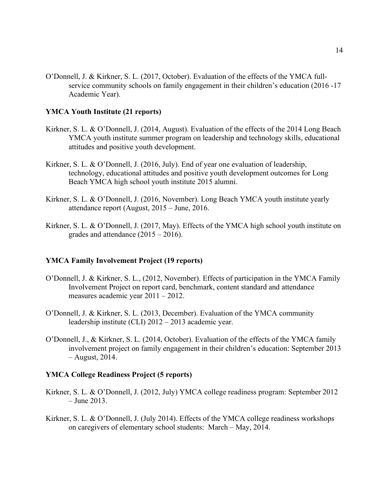O'Donnell, J. & Kirkner, S. L. (2017, October). Evaluation of the effects of the YMCA fullservice community schools on family engagement in their children's education (2016 -17 Academic Year).

## **YMCA Youth Institute (21 reports)**

- Kirkner, S. L. & O'Donnell, J. (2014, August). Evaluation of the effects of the 2014 Long Beach YMCA youth institute summer program on leadership and technology skills, educational attitudes and positive youth development.
- Kirkner, S. L. & O'Donnell, J. (2016, July). End of year one evaluation of leadership, technology, educational attitudes and positive youth development outcomes for Long Beach YMCA high school youth institute 2015 alumni.
- Kirkner, S. L. & O'Donnell, J. (2016, November). Long Beach YMCA youth institute yearly attendance report (August, 2015 – June, 2016.
- Kirkner, S. L. & O'Donnell, J. (2017, May). Effects of the YMCA high school youth institute on grades and attendance  $(2015 - 2016)$ .

# **YMCA Family Involvement Project (19 reports)**

- O'Donnell, J. & Kirkner, S. L., (2012, November). Effects of participation in the YMCA Family Involvement Project on report card, benchmark, content standard and attendance measures academic year 2011 – 2012.
- O'Donnell, J. & Kirkner, S. L. (2013, December). Evaluation of the YMCA community leadership institute (CLI) 2012 – 2013 academic year.
- O'Donnell, J., & Kirkner, S. L. (2014, October). Evaluation of the effects of the YMCA family involvement project on family engagement in their children's education: September 2013 – August, 2014.

### **YMCA College Readiness Project (5 reports)**

- Kirkner, S. L. & O'Donnell, J. (2012, July) YMCA college readiness program: September 2012 – June 2013.
- Kirkner, S. L. & O'Donnell, J. (July 2014). Effects of the YMCA college readiness workshops on caregivers of elementary school students: March – May, 2014.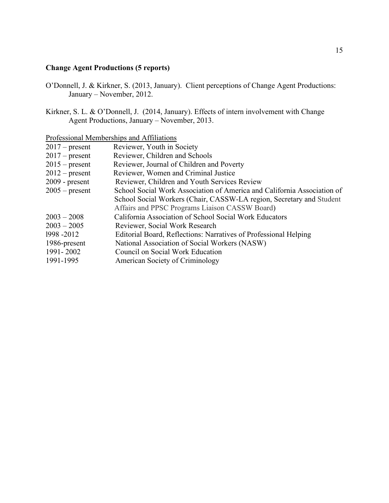# **Change Agent Productions (5 reports)**

- O'Donnell, J. & Kirkner, S. (2013, January). Client perceptions of Change Agent Productions: January – November, 2012.
- Kirkner, S. L. & O'Donnell, J. (2014, January). Effects of intern involvement with Change Agent Productions, January – November, 2013.

# Professional Memberships and Affiliations

| $2017$ – present | Reviewer, Youth in Society                                              |
|------------------|-------------------------------------------------------------------------|
| $2017$ – present | Reviewer, Children and Schools                                          |
| $2015$ – present | Reviewer, Journal of Children and Poverty                               |
| $2012$ – present | Reviewer, Women and Criminal Justice                                    |
| $2009$ - present | Reviewer, Children and Youth Services Review                            |
| $2005$ – present | School Social Work Association of America and California Association of |
|                  | School Social Workers (Chair, CASSW-LA region, Secretary and Student    |
|                  | Affairs and PPSC Programs Liaison CASSW Board)                          |
| $2003 - 2008$    | California Association of School Social Work Educators                  |
| $2003 - 2005$    | Reviewer, Social Work Research                                          |
| 1998 - 2012      | Editorial Board, Reflections: Narratives of Professional Helping        |
| 1986-present     | National Association of Social Workers (NASW)                           |
| 1991-2002        | Council on Social Work Education                                        |
| 1991-1995        | American Society of Criminology                                         |
|                  |                                                                         |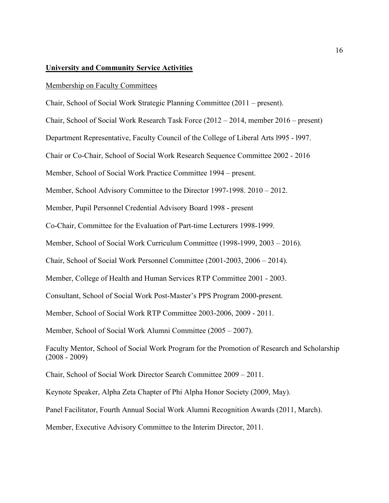# **University and Community Service Activities**

### Membership on Faculty Committees

Chair, School of Social Work Strategic Planning Committee (2011 – present).

Chair, School of Social Work Research Task Force (2012 – 2014, member 2016 – present)

Department Representative, Faculty Council of the College of Liberal Arts l995 - l997.

Chair or Co-Chair, School of Social Work Research Sequence Committee 2002 - 2016

Member, School of Social Work Practice Committee 1994 – present.

Member, School Advisory Committee to the Director 1997-1998. 2010 – 2012.

Member, Pupil Personnel Credential Advisory Board 1998 - present

Co-Chair, Committee for the Evaluation of Part-time Lecturers 1998-1999.

Member, School of Social Work Curriculum Committee (1998-1999, 2003 – 2016).

Chair, School of Social Work Personnel Committee (2001-2003, 2006 – 2014).

Member, College of Health and Human Services RTP Committee 2001 - 2003.

Consultant, School of Social Work Post-Master's PPS Program 2000-present.

Member, School of Social Work RTP Committee 2003-2006, 2009 - 2011.

Member, School of Social Work Alumni Committee (2005 – 2007).

Faculty Mentor, School of Social Work Program for the Promotion of Research and Scholarship (2008 - 2009)

Chair, School of Social Work Director Search Committee 2009 – 2011.

Keynote Speaker, Alpha Zeta Chapter of Phi Alpha Honor Society (2009, May).

Panel Facilitator, Fourth Annual Social Work Alumni Recognition Awards (2011, March).

Member, Executive Advisory Committee to the Interim Director, 2011.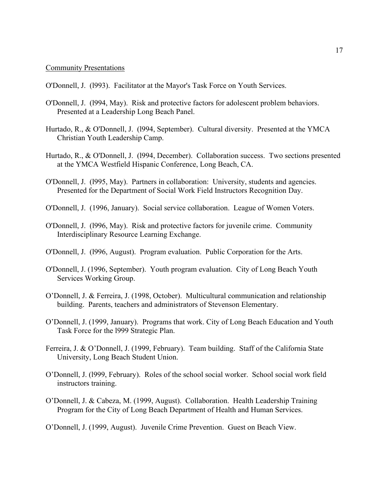### Community Presentations

- O'Donnell, J. (l993). Facilitator at the Mayor's Task Force on Youth Services.
- O'Donnell, J. (l994, May). Risk and protective factors for adolescent problem behaviors. Presented at a Leadership Long Beach Panel.
- Hurtado, R., & O'Donnell, J. (l994, September). Cultural diversity. Presented at the YMCA Christian Youth Leadership Camp.
- Hurtado, R., & O'Donnell, J. (l994, December). Collaboration success. Two sections presented at the YMCA Westfield Hispanic Conference, Long Beach, CA.
- O'Donnell, J. (l995, May). Partners in collaboration: University, students and agencies. Presented for the Department of Social Work Field Instructors Recognition Day.
- O'Donnell, J. (1996, January). Social service collaboration. League of Women Voters.
- O'Donnell, J. (l996, May). Risk and protective factors for juvenile crime. Community Interdisciplinary Resource Learning Exchange.
- O'Donnell, J. (l996, August). Program evaluation. Public Corporation for the Arts.
- O'Donnell, J. (1996, September). Youth program evaluation. City of Long Beach Youth Services Working Group.
- O'Donnell, J. & Ferreira, J. (1998, October). Multicultural communication and relationship building. Parents, teachers and administrators of Stevenson Elementary.
- O'Donnell, J. (1999, January). Programs that work. City of Long Beach Education and Youth Task Force for the l999 Strategic Plan.
- Ferreira, J. & O'Donnell, J. (1999, February). Team building. Staff of the California State University, Long Beach Student Union.
- O'Donnell, J. (l999, February). Roles of the school social worker. School social work field instructors training.
- O'Donnell, J. & Cabeza, M. (1999, August). Collaboration. Health Leadership Training Program for the City of Long Beach Department of Health and Human Services.
- O'Donnell, J. (1999, August). Juvenile Crime Prevention. Guest on Beach View.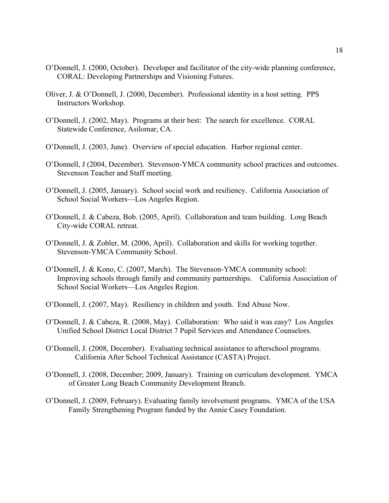- O'Donnell, J. (2000, October). Developer and facilitator of the city-wide planning conference, CORAL: Developing Partnerships and Visioning Futures.
- Oliver, J. & O'Donnell, J. (2000, December). Professional identity in a host setting. PPS Instructors Workshop.
- O'Donnell, J. (2002, May). Programs at their best: The search for excellence. CORAL Statewide Conference, Asilomar, CA.
- O'Donnell, J. (2003, June). Overview of special education. Harbor regional center.
- O'Donnell, J (2004, December). Stevenson-YMCA community school practices and outcomes. Stevenson Teacher and Staff meeting.
- O'Donnell, J. (2005, January). School social work and resiliency. California Association of School Social Workers—Los Angeles Region.
- O'Donnell, J. & Cabeza, Bob. (2005, April). Collaboration and team building. Long Beach City-wide CORAL retreat.
- O'Donnell, J. & Zobler, M. (2006, April). Collaboration and skills for working together. Stevenson-YMCA Community School.
- O'Donnell, J. & Kono, C. (2007, March). The Stevenson-YMCA community school: Improving schools through family and community partnerships. California Association of School Social Workers—Los Angeles Region.
- O'Donnell, J. (2007, May). Resiliency in children and youth. End Abuse Now.
- O'Donnell, J. & Cabeza, R. (2008, May). Collaboration: Who said it was easy? Los Angeles Unified School District Local District 7 Pupil Services and Attendance Counselors.
- O'Donnell, J. (2008, December). Evaluating technical assistance to afterschool programs. California After School Technical Assistance (CASTA) Project.
- O'Donnell, J. (2008, December; 2009, January). Training on curriculum development. YMCA of Greater Long Beach Community Development Branch.
- O'Donnell, J. (2009, February). Evaluating family involvement programs. YMCA of the USA Family Strengthening Program funded by the Annie Casey Foundation.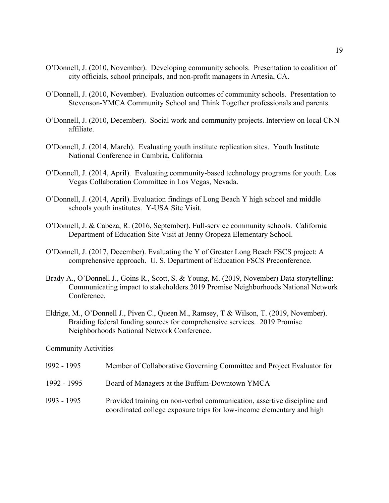- O'Donnell, J. (2010, November). Developing community schools. Presentation to coalition of city officials, school principals, and non-profit managers in Artesia, CA.
- O'Donnell, J. (2010, November). Evaluation outcomes of community schools. Presentation to Stevenson-YMCA Community School and Think Together professionals and parents.
- O'Donnell, J. (2010, December). Social work and community projects. Interview on local CNN affiliate.
- O'Donnell, J. (2014, March). Evaluating youth institute replication sites. Youth Institute National Conference in Cambria, California
- O'Donnell, J. (2014, April). Evaluating community-based technology programs for youth. Los Vegas Collaboration Committee in Los Vegas, Nevada.
- O'Donnell, J. (2014, April). Evaluation findings of Long Beach Y high school and middle schools youth institutes. Y-USA Site Visit.
- O'Donnell, J. & Cabeza, R. (2016, September). Full-service community schools. California Department of Education Site Visit at Jenny Oropeza Elementary School.
- O'Donnell, J. (2017, December). Evaluating the Y of Greater Long Beach FSCS project: A comprehensive approach. U. S. Department of Education FSCS Preconference.
- Brady A., O'Donnell J., Goins R., Scott, S. & Young, M. (2019, November) Data storytelling: Communicating impact to stakeholders.2019 Promise Neighborhoods National Network Conference.
- Eldrige, M., O'Donnell J., Piven C., Queen M., Ramsey, T & Wilson, T. (2019, November). Braiding federal funding sources for comprehensive services. 2019 Promise Neighborhoods National Network Conference.

Community Activities

| 1992 - 1995 | Member of Collaborative Governing Committee and Project Evaluator for                                                                            |
|-------------|--------------------------------------------------------------------------------------------------------------------------------------------------|
| 1992 - 1995 | Board of Managers at the Buffum-Downtown YMCA                                                                                                    |
| 1993 - 1995 | Provided training on non-verbal communication, assertive discipline and<br>coordinated college exposure trips for low-income elementary and high |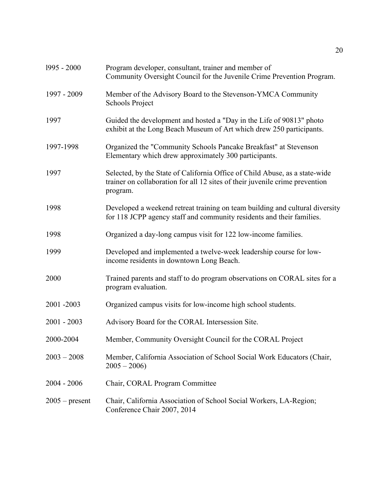| 1995 - 2000      | Program developer, consultant, trainer and member of<br>Community Oversight Council for the Juvenile Crime Prevention Program.                                          |
|------------------|-------------------------------------------------------------------------------------------------------------------------------------------------------------------------|
| 1997 - 2009      | Member of the Advisory Board to the Stevenson-YMCA Community<br><b>Schools Project</b>                                                                                  |
| 1997             | Guided the development and hosted a "Day in the Life of 90813" photo<br>exhibit at the Long Beach Museum of Art which drew 250 participants.                            |
| 1997-1998        | Organized the "Community Schools Pancake Breakfast" at Stevenson<br>Elementary which drew approximately 300 participants.                                               |
| 1997             | Selected, by the State of California Office of Child Abuse, as a state-wide<br>trainer on collaboration for all 12 sites of their juvenile crime prevention<br>program. |
| 1998             | Developed a weekend retreat training on team building and cultural diversity<br>for 118 JCPP agency staff and community residents and their families.                   |
| 1998             | Organized a day-long campus visit for 122 low-income families.                                                                                                          |
| 1999             | Developed and implemented a twelve-week leadership course for low-<br>income residents in downtown Long Beach.                                                          |
| 2000             | Trained parents and staff to do program observations on CORAL sites for a<br>program evaluation.                                                                        |
| 2001-2003        | Organized campus visits for low-income high school students.                                                                                                            |
| $2001 - 2003$    | Advisory Board for the CORAL Intersession Site.                                                                                                                         |
| 2000-2004        | Member, Community Oversight Council for the CORAL Project                                                                                                               |
| $2003 - 2008$    | Member, California Association of School Social Work Educators (Chair,<br>$2005 - 2006$                                                                                 |
| $2004 - 2006$    | Chair, CORAL Program Committee                                                                                                                                          |
| $2005$ – present | Chair, California Association of School Social Workers, LA-Region;<br>Conference Chair 2007, 2014                                                                       |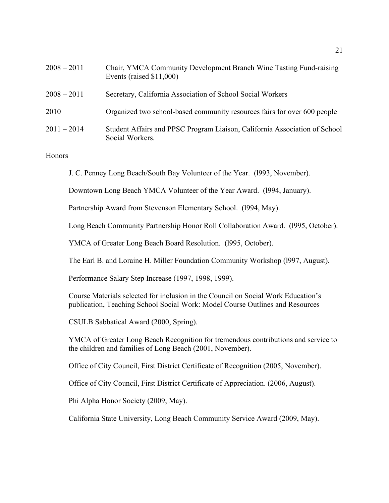| $2008 - 2011$ | Chair, YMCA Community Development Branch Wine Tasting Fund-raising<br>Events (raised $$11,000$ ) |
|---------------|--------------------------------------------------------------------------------------------------|
| $2008 - 2011$ | Secretary, California Association of School Social Workers                                       |
| 2010          | Organized two school-based community resources fairs for over 600 people                         |
| $2011 - 2014$ | Student Affairs and PPSC Program Liaison, California Association of School<br>Social Workers.    |

# Honors

J. C. Penney Long Beach/South Bay Volunteer of the Year. (l993, November).

Downtown Long Beach YMCA Volunteer of the Year Award. (l994, January).

Partnership Award from Stevenson Elementary School. (1994, May).

Long Beach Community Partnership Honor Roll Collaboration Award. (l995, October).

YMCA of Greater Long Beach Board Resolution. (l995, October).

The Earl B. and Loraine H. Miller Foundation Community Workshop (l997, August).

Performance Salary Step Increase (1997, 1998, 1999).

Course Materials selected for inclusion in the Council on Social Work Education's publication, Teaching School Social Work: Model Course Outlines and Resources

CSULB Sabbatical Award (2000, Spring).

YMCA of Greater Long Beach Recognition for tremendous contributions and service to the children and families of Long Beach (2001, November).

Office of City Council, First District Certificate of Recognition (2005, November).

Office of City Council, First District Certificate of Appreciation. (2006, August).

Phi Alpha Honor Society (2009, May).

California State University, Long Beach Community Service Award (2009, May).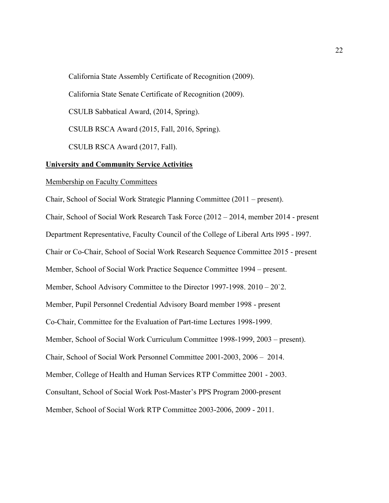California State Assembly Certificate of Recognition (2009). California State Senate Certificate of Recognition (2009). CSULB Sabbatical Award, (2014, Spring). CSULB RSCA Award (2015, Fall, 2016, Spring). CSULB RSCA Award (2017, Fall). **University and Community Service Activities**

### Membership on Faculty Committees

Chair, School of Social Work Strategic Planning Committee (2011 – present). Chair, School of Social Work Research Task Force (2012 – 2014, member 2014 - present Department Representative, Faculty Council of the College of Liberal Arts l995 - l997. Chair or Co-Chair, School of Social Work Research Sequence Committee 2015 - present Member, School of Social Work Practice Sequence Committee 1994 – present. Member, School Advisory Committee to the Director 1997-1998. 2010 – 20`2. Member, Pupil Personnel Credential Advisory Board member 1998 - present Co-Chair, Committee for the Evaluation of Part-time Lectures 1998-1999. Member, School of Social Work Curriculum Committee 1998-1999, 2003 – present). Chair, School of Social Work Personnel Committee 2001-2003, 2006 – 2014. Member, College of Health and Human Services RTP Committee 2001 - 2003. Consultant, School of Social Work Post-Master's PPS Program 2000-present Member, School of Social Work RTP Committee 2003-2006, 2009 - 2011.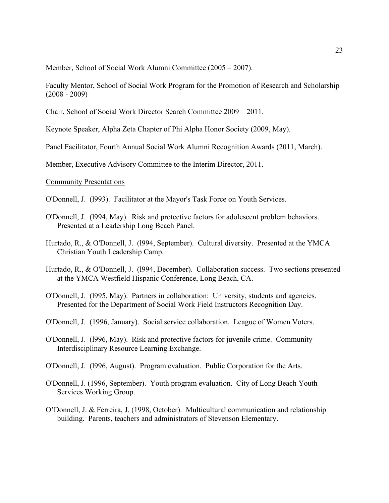Member, School of Social Work Alumni Committee (2005 – 2007).

Faculty Mentor, School of Social Work Program for the Promotion of Research and Scholarship (2008 - 2009)

Chair, School of Social Work Director Search Committee 2009 – 2011.

Keynote Speaker, Alpha Zeta Chapter of Phi Alpha Honor Society (2009, May).

Panel Facilitator, Fourth Annual Social Work Alumni Recognition Awards (2011, March).

Member, Executive Advisory Committee to the Interim Director, 2011.

# Community Presentations

O'Donnell, J. (l993). Facilitator at the Mayor's Task Force on Youth Services.

- O'Donnell, J. (l994, May). Risk and protective factors for adolescent problem behaviors. Presented at a Leadership Long Beach Panel.
- Hurtado, R., & O'Donnell, J. (l994, September). Cultural diversity. Presented at the YMCA Christian Youth Leadership Camp.
- Hurtado, R., & O'Donnell, J. (l994, December). Collaboration success. Two sections presented at the YMCA Westfield Hispanic Conference, Long Beach, CA.
- O'Donnell, J. (l995, May). Partners in collaboration: University, students and agencies. Presented for the Department of Social Work Field Instructors Recognition Day.
- O'Donnell, J. (1996, January). Social service collaboration. League of Women Voters.
- O'Donnell, J. (l996, May). Risk and protective factors for juvenile crime. Community Interdisciplinary Resource Learning Exchange.
- O'Donnell, J. (l996, August). Program evaluation. Public Corporation for the Arts.
- O'Donnell, J. (1996, September). Youth program evaluation. City of Long Beach Youth Services Working Group.
- O'Donnell, J. & Ferreira, J. (1998, October). Multicultural communication and relationship building. Parents, teachers and administrators of Stevenson Elementary.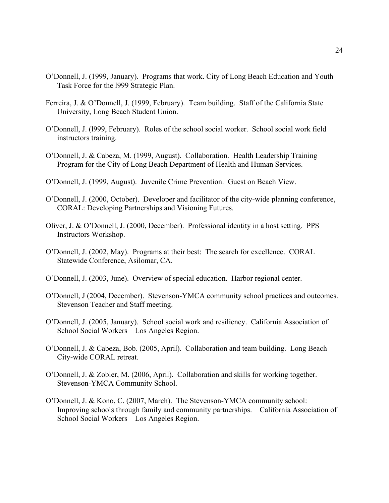- O'Donnell, J. (1999, January). Programs that work. City of Long Beach Education and Youth Task Force for the l999 Strategic Plan.
- Ferreira, J. & O'Donnell, J. (1999, February). Team building. Staff of the California State University, Long Beach Student Union.
- O'Donnell, J. (l999, February). Roles of the school social worker. School social work field instructors training.
- O'Donnell, J. & Cabeza, M. (1999, August). Collaboration. Health Leadership Training Program for the City of Long Beach Department of Health and Human Services.
- O'Donnell, J. (1999, August). Juvenile Crime Prevention. Guest on Beach View.
- O'Donnell, J. (2000, October). Developer and facilitator of the city-wide planning conference, CORAL: Developing Partnerships and Visioning Futures.
- Oliver, J. & O'Donnell, J. (2000, December). Professional identity in a host setting. PPS Instructors Workshop.
- O'Donnell, J. (2002, May). Programs at their best: The search for excellence. CORAL Statewide Conference, Asilomar, CA.
- O'Donnell, J. (2003, June). Overview of special education. Harbor regional center.
- O'Donnell, J (2004, December). Stevenson-YMCA community school practices and outcomes. Stevenson Teacher and Staff meeting.
- O'Donnell, J. (2005, January). School social work and resiliency. California Association of School Social Workers—Los Angeles Region.
- O'Donnell, J. & Cabeza, Bob. (2005, April). Collaboration and team building. Long Beach City-wide CORAL retreat.
- O'Donnell, J. & Zobler, M. (2006, April). Collaboration and skills for working together. Stevenson-YMCA Community School.
- O'Donnell, J. & Kono, C. (2007, March). The Stevenson-YMCA community school: Improving schools through family and community partnerships. California Association of School Social Workers—Los Angeles Region.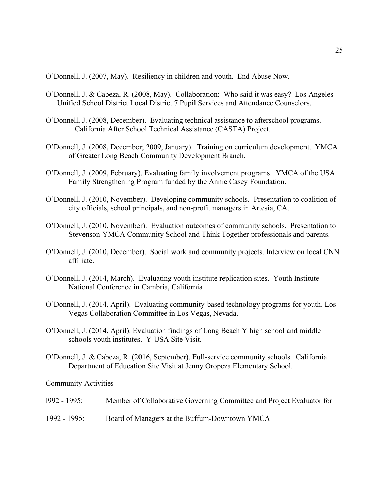O'Donnell, J. (2007, May). Resiliency in children and youth. End Abuse Now.

- O'Donnell, J. & Cabeza, R. (2008, May). Collaboration: Who said it was easy? Los Angeles Unified School District Local District 7 Pupil Services and Attendance Counselors.
- O'Donnell, J. (2008, December). Evaluating technical assistance to afterschool programs. California After School Technical Assistance (CASTA) Project.
- O'Donnell, J. (2008, December; 2009, January). Training on curriculum development. YMCA of Greater Long Beach Community Development Branch.
- O'Donnell, J. (2009, February). Evaluating family involvement programs. YMCA of the USA Family Strengthening Program funded by the Annie Casey Foundation.
- O'Donnell, J. (2010, November). Developing community schools. Presentation to coalition of city officials, school principals, and non-profit managers in Artesia, CA.
- O'Donnell, J. (2010, November). Evaluation outcomes of community schools. Presentation to Stevenson-YMCA Community School and Think Together professionals and parents.
- O'Donnell, J. (2010, December). Social work and community projects. Interview on local CNN affiliate.
- O'Donnell, J. (2014, March). Evaluating youth institute replication sites. Youth Institute National Conference in Cambria, California
- O'Donnell, J. (2014, April). Evaluating community-based technology programs for youth. Los Vegas Collaboration Committee in Los Vegas, Nevada.
- O'Donnell, J. (2014, April). Evaluation findings of Long Beach Y high school and middle schools youth institutes. Y-USA Site Visit.
- O'Donnell, J. & Cabeza, R. (2016, September). Full-service community schools. California Department of Education Site Visit at Jenny Oropeza Elementary School.

#### Community Activities

| $1992 - 1995$ : | Member of Collaborative Governing Committee and Project Evaluator for |
|-----------------|-----------------------------------------------------------------------|
| $1992 - 1995$ : | Board of Managers at the Buffum-Downtown YMCA                         |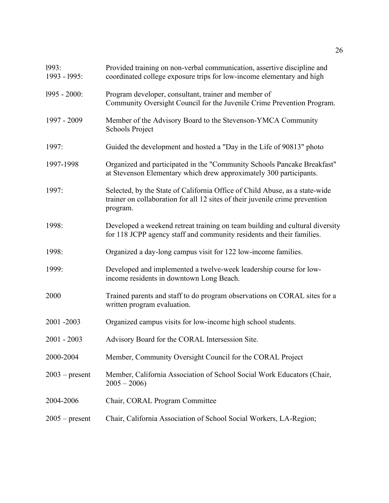| 1993:<br>1993 - 1995: | Provided training on non-verbal communication, assertive discipline and<br>coordinated college exposure trips for low-income elementary and high                        |
|-----------------------|-------------------------------------------------------------------------------------------------------------------------------------------------------------------------|
| $1995 - 2000$ :       | Program developer, consultant, trainer and member of<br>Community Oversight Council for the Juvenile Crime Prevention Program.                                          |
| 1997 - 2009           | Member of the Advisory Board to the Stevenson-YMCA Community<br><b>Schools Project</b>                                                                                  |
| 1997:                 | Guided the development and hosted a "Day in the Life of 90813" photo                                                                                                    |
| 1997-1998             | Organized and participated in the "Community Schools Pancake Breakfast"<br>at Stevenson Elementary which drew approximately 300 participants.                           |
| 1997:                 | Selected, by the State of California Office of Child Abuse, as a state-wide<br>trainer on collaboration for all 12 sites of their juvenile crime prevention<br>program. |
| 1998:                 | Developed a weekend retreat training on team building and cultural diversity<br>for 118 JCPP agency staff and community residents and their families.                   |
| 1998:                 | Organized a day-long campus visit for 122 low-income families.                                                                                                          |
| 1999:                 | Developed and implemented a twelve-week leadership course for low-<br>income residents in downtown Long Beach.                                                          |
| 2000                  | Trained parents and staff to do program observations on CORAL sites for a<br>written program evaluation.                                                                |
| 2001 - 2003           | Organized campus visits for low-income high school students.                                                                                                            |
| $2001 - 2003$         | Advisory Board for the CORAL Intersession Site.                                                                                                                         |
| 2000-2004             | Member, Community Oversight Council for the CORAL Project                                                                                                               |
| $2003$ – present      | Member, California Association of School Social Work Educators (Chair,<br>$2005 - 2006$                                                                                 |
| 2004-2006             | Chair, CORAL Program Committee                                                                                                                                          |
| $2005$ – present      | Chair, California Association of School Social Workers, LA-Region;                                                                                                      |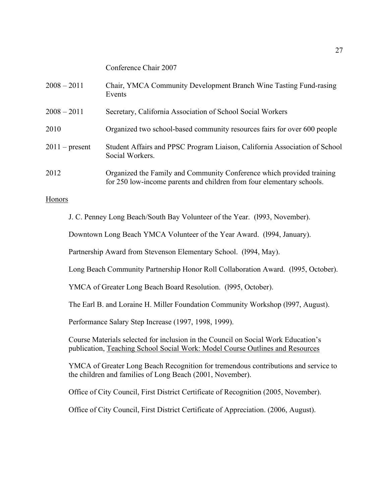# Conference Chair 2007

| $2008 - 2011$    | Chair, YMCA Community Development Branch Wine Tasting Fund-rasing<br>Events                                                                    |
|------------------|------------------------------------------------------------------------------------------------------------------------------------------------|
| $2008 - 2011$    | Secretary, California Association of School Social Workers                                                                                     |
| 2010             | Organized two school-based community resources fairs for over 600 people                                                                       |
| $2011$ – present | Student Affairs and PPSC Program Liaison, California Association of School<br>Social Workers.                                                  |
| 2012             | Organized the Family and Community Conference which provided training<br>for 250 low-income parents and children from four elementary schools. |

### Honors

J. C. Penney Long Beach/South Bay Volunteer of the Year. (l993, November).

Downtown Long Beach YMCA Volunteer of the Year Award. (l994, January).

Partnership Award from Stevenson Elementary School. (1994, May).

Long Beach Community Partnership Honor Roll Collaboration Award. (l995, October).

YMCA of Greater Long Beach Board Resolution. (l995, October).

The Earl B. and Loraine H. Miller Foundation Community Workshop (l997, August).

Performance Salary Step Increase (1997, 1998, 1999).

Course Materials selected for inclusion in the Council on Social Work Education's publication, Teaching School Social Work: Model Course Outlines and Resources

YMCA of Greater Long Beach Recognition for tremendous contributions and service to the children and families of Long Beach (2001, November).

Office of City Council, First District Certificate of Recognition (2005, November).

Office of City Council, First District Certificate of Appreciation. (2006, August).